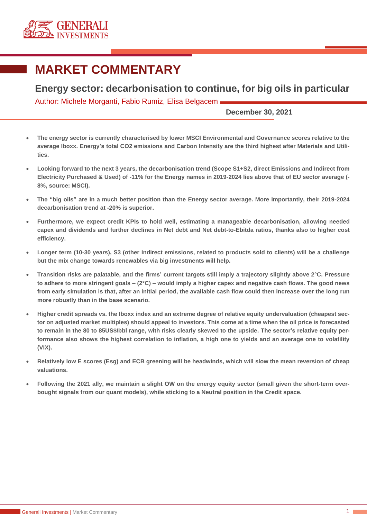

# **MARKET COMMENTARY**

**Energy sector: decarbonisation to continue, for big oils in particular** 

Author: Michele Morganti, Fabio Rumiz, Elisa Belgacem

**December 30, 2021**

- **The energy sector is currently characterised by lower MSCI Environmental and Governance scores relative to the average Iboxx. Energy's total CO2 emissions and Carbon Intensity are the third highest after Materials and Utilities.**
- **Looking forward to the next 3 years, the decarbonisation trend (Scope S1+S2, direct Emissions and Indirect from Electricity Purchased & Used) of -11% for the Energy names in 2019-2024 lies above that of EU sector average (- 8%, source: MSCI).**
- **The "big oils" are in a much better position than the Energy sector average. More importantly, their 2019-2024 decarbonisation trend at -20% is superior.**
- **Furthermore, we expect credit KPIs to hold well, estimating a manageable decarbonisation, allowing needed capex and dividends and further declines in Net debt and Net debt-to-Ebitda ratios, thanks also to higher cost efficiency.**
- **Longer term (10-30 years), S3 (other Indirect emissions, related to products sold to clients) will be a challenge but the mix change towards renewables via big investments will help.**
- **Transition risks are palatable, and the firms' current targets still imply a trajectory slightly above 2°C. Pressure to adhere to more stringent goals – (2°C) – would imply a higher capex and negative cash flows. The good news from early simulation is that, after an initial period, the available cash flow could then increase over the long run more robustly than in the base scenario.**
- **Higher credit spreads vs. the Iboxx index and an extreme degree of relative equity undervaluation (cheapest sector on adjusted market multiples) should appeal to investors. This come at a time when the oil price is forecasted to remain in the 80 to 85US\$/bbl range, with risks clearly skewed to the upside. The sector's relative equity performance also shows the highest correlation to inflation, a high one to yields and an average one to volatility (VIX).**
- **Relatively low E scores (Esg) and ECB greening will be headwinds, which will slow the mean reversion of cheap valuations.**
- **Following the 2021 ally, we maintain a slight OW on the energy equity sector (small given the short-term overbought signals from our quant models), while sticking to a Neutral position in the Credit space.**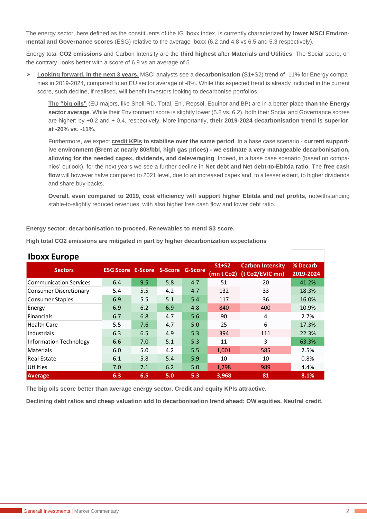The energy sector, here defined as the constituents of the IG Iboxx index, is currently characterized by **lower MSCI Environmental and Governance scores** (ESG) relative to the average Iboxx (6.2 and 4.8 vs 6.5 and 5.3 respectively).

Energy total **CO2 emissions** and Carbon Intensity are the **third highest** after **Materials and Utilities**. The Social score, on the contrary, looks better with a score of 6.9 vs an average of 5.

➢ **Looking forward, in the next 3 years,** MSCI analysts see a **decarbonisation** (S1+S2) trend of -11% for Energy companies in 2019-2024, compared to an EU sector average of -8%. While this expected trend is already included in the current score, such decline, if realised, will benefit investors looking to decarbonise portfolios.

**The "big oils"** (EU majors, like Shell-RD, Total, Eni, Repsol, Equinor and BP) are in a better place **than the Energy sector average**. While their Environment score is slightly lower (5.8 vs. 6.2), both their Social and Governance scores are higher: by +0.2 and + 0.4, respectively. More importantly, **their 2019-2024 decarbonisation trend is superior**, **at -20% vs. -11%.**

Furthermore, we expect **credit KPIs to stabilise over the same period**. In a base case scenario - **current supportive environment (Brent at nearly 80\$/bbl, high gas prices) - we estimate a very manageable decarbonisation, allowing for the needed capex, dividends, and deleveraging**. Indeed, in a base case scenario (based on companies' outlook), for the next years we see a further decline in **Net debt and Net debt-to-Ebitda ratio**. The **free cash flow** will however halve compared to 2021 level, due to an increased capex and, to a lesser extent, to higher dividends and share buy-backs.

**Overall, even compared to 2019, cost efficiency will support higher Ebitda and net profits**, notwithstanding stable-to-slightly reduced revenues, with also higher free cash flow and lower debt ratio.

**Energy sector: decarbonisation to proceed. Renewables to mend S3 score.** 

**High total CO2 emissions are mitigated in part by higher decarbonization expectations**

| <b>INUAA LUI UPE</b>          |                                          |     |     |     |            |                         |           |  |  |  |  |  |
|-------------------------------|------------------------------------------|-----|-----|-----|------------|-------------------------|-----------|--|--|--|--|--|
| <b>Sectors</b>                | <b>ESG Score E-Score S-Score G-Score</b> |     |     |     | $S1+S2$    | <b>Carbon Intensity</b> | % Decarb  |  |  |  |  |  |
|                               |                                          |     |     |     | (mn t Co2) | (t Co2/EVIC mn)         | 2019-2024 |  |  |  |  |  |
| <b>Communication Services</b> | 6.4                                      | 9.5 | 5.8 | 4.7 | 51         | 20                      | 41.2%     |  |  |  |  |  |
| <b>Consumer Discretionary</b> | 5.4                                      | 5.5 | 4.2 | 4.7 | 132        | 33                      | 18.3%     |  |  |  |  |  |
| <b>Consumer Staples</b>       | 6.9                                      | 5.5 | 5.1 | 5.4 | 117        | 36                      | 16.0%     |  |  |  |  |  |
| Energy                        | 6.9                                      | 6.2 | 6.9 | 4.8 | 840        | 400                     | 10.9%     |  |  |  |  |  |
| <b>Financials</b>             | 6.7                                      | 6.8 | 4.7 | 5.6 | 90         | 4                       | 2.7%      |  |  |  |  |  |
| <b>Health Care</b>            | 5.5                                      | 7.6 | 4.7 | 5.0 | 25         | 6                       | 17.3%     |  |  |  |  |  |
| Industrials                   | 6.3                                      | 6.5 | 4.9 | 5.3 | 394        | 111                     | 22.3%     |  |  |  |  |  |
| <b>Information Technology</b> | 6.6                                      | 7.0 | 5.1 | 5.3 | 11         | 3                       | 63.3%     |  |  |  |  |  |
| <b>Materials</b>              | 6.0                                      | 5.0 | 4.2 | 5.5 | 1,001      | 585                     | 2.5%      |  |  |  |  |  |
| <b>Real Estate</b>            | 6.1                                      | 5.8 | 5.4 | 5.9 | 10         | 10                      | 0.8%      |  |  |  |  |  |
| <b>Utilities</b>              | 7.0                                      | 7.1 | 6.2 | 5.0 | 1,298      | 989                     | 4.4%      |  |  |  |  |  |
| <b>Average</b>                | 6.3                                      | 6.5 | 5.0 | 5.3 | 3,968      | 81                      | 8.1%      |  |  |  |  |  |

# **Iboxy Europe**

**The big oils score better than average energy sector. Credit and equity KPIs attractive.**

**Declining debt ratios and cheap valuation add to decarbonisation trend ahead: OW equities, Neutral credit.**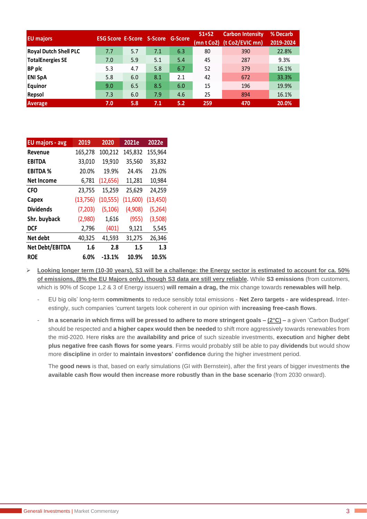| <b>EU</b> majors             | <b>ESG Score E-Score S-Score G-Score</b> |     |     |     | $S1+S2$<br>(mn t Co2) | <b>Carbon Intensity</b><br>(t Co2/EVIC mn) | % Decarb<br>2019-2024 |
|------------------------------|------------------------------------------|-----|-----|-----|-----------------------|--------------------------------------------|-----------------------|
| <b>Royal Dutch Shell PLC</b> | 7.7                                      | 5.7 | 7.1 | 6.3 | 80                    | 390                                        | 22.8%                 |
| <b>TotalEnergies SE</b>      | 7.0                                      | 5.9 | 5.1 | 5.4 | 45                    | 287                                        | 9.3%                  |
| <b>BP</b> plc                | 5.3                                      | 4.7 | 5.8 | 6.7 | 52                    | 379                                        | 16.1%                 |
| <b>ENI SpA</b>               | 5.8                                      | 6.0 | 8.1 | 2.1 | 42                    | 672                                        | 33.3%                 |
| Equinor                      | 9.0                                      | 6.5 | 8.5 | 6.0 | 15                    | 196                                        | 19.9%                 |
| Repsol                       | 7.3                                      | 6.0 | 7.9 | 4.6 | 25                    | 894                                        | 16.1%                 |
| <b>Average</b>               | 7.0                                      | 5.8 | 7.1 | 5.2 | 259                   | 470                                        | 20.0%                 |

| <b>EU majors - avg</b> | 2019      | 2020      | 2021e    | 2022e     |
|------------------------|-----------|-----------|----------|-----------|
| Revenue                | 165,278   | 100,212   | 145,832  | 155,964   |
| <b>EBITDA</b>          | 33,010    | 19,910    | 35,560   | 35,832    |
| <b>EBITDA %</b>        | 20.0%     | 19.9%     | 24.4%    | 23.0%     |
| <b>Net Income</b>      | 6,781     | (12, 656) | 11,281   | 10,984    |
| <b>CFO</b>             | 23,755    | 15,259    | 25,629   | 24,259    |
| Capex                  | (13, 756) | (10, 555) | (11,600) | (13, 450) |
| <b>Dividends</b>       | (7,203)   | (5, 106)  | (4,908)  | (5,264)   |
| Shr. buyback           | (2,980)   | 1,616     | (955)    | (3,508)   |
| <b>DCF</b>             | 2,796     | (401)     | 9,121    | 5,545     |
| Net debt               | 40,325    | 41,593    | 31,275   | 26,346    |
| Net Debt/EBITDA        | 1.6       | 2.8       | 1.5      | 1.3       |
| <b>ROE</b>             | 6.0%      | $-13.1%$  | 10.9%    | 10.5%     |

➢ **Looking longer term (10-30 years), S3 will be a challenge: the Energy sector is estimated to account for ca. 50% of emissions, (8% the EU Majors only), though S3 data are still very reliable.** While **S3 emissions** (from customers, which is 90% of Scope 1,2 & 3 of Energy issuers) **will remain a drag, the** mix change towards **renewables will help**.

- EU big oils' long-term **commitments** to reduce sensibly total emissions - **Net Zero targets - are widespread.** Interestingly, such companies 'current targets look coherent in our opinion with **increasing free-cash flows**.

- **In a scenario in which firms will be pressed to adhere to more stringent goals – (2°C) –** a given 'Carbon Budget' should be respected and **a higher capex would then be needed** to shift more aggressively towards renewables from the mid-2020. Here **risks** are the **availability and price** of such sizeable investments, **execution** and **higher debt plus negative free cash flows for some years**. Firms would probably still be able to pay **dividends** but would show more **discipline** in order to **maintain investors' confidence** during the higher investment period.

The **good news** is that, based on early simulations (GI with Bernstein), after the first years of bigger investments **the available cash flow would then increase more robustly than in the base scenario** (from 2030 onward).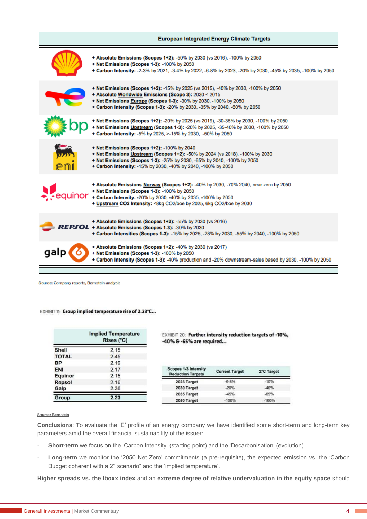# **European Integrated Energy Climate Targets** + Absolute Emissions (Scopes 1+2): -50% by 2030 (vs 2016), -100% by 2050 + Net Emissions (Scopes 1-3): -100% by 2050 + Carbon Intensity: -2-3% by 2021, -3-4% by 2022, -6-8% by 2023, -20% by 2030, -45% by 2035, -100% by 2050 + Net Emissions (Scopes 1+2): -15% by 2025 (vs 2015), -40% by 2030, -100% by 2050 + Absolute Worldwide Emissions (Scope 3): 2030 < 2015 + Net Emissions Europe (Scopes 1-3): -30% by 2030, -100% by 2050 + Carbon Intensity (Scopes 1-3): -20% by 2030, -35% by 2040, -60% by 2050 + Net Emissions (Scopes 1+2): -20% by 2025 (vs 2019), -30-35% by 2030, -100% by 2050 + Net Emissions Upstream (Scopes 1-3): -20% by 2025, -35-40% by 2030, -100% by 2050 + Carbon Intensity: -5% by 2025. >-15% by 2030. -50% by 2050 + Net Emissions (Scopes 1+2): -100% by 2040 + Net Emissions Upstream (Scopes 1+2): -50% by 2024 (vs 2018), -100% by 2030 + Net Emissions (Scopes 1-3): -25% by 2030, -65% by 2040, -100% by 2050 + Carbon Intensity: -15% by 2030. -40% by 2040. -100% by 2050 + Absolute Emissions Norway (Scopes 1+2): -40% by 2030, -70% 2040, near zero by 2050 + Net Emissions (Scopes 1-3): -100% by 2050 auinor + Carbon Intensity: - 20% by 2030, -40% by 2035, -100% by 2050 + Upstream CO2 Intensity: <8kg CO2/boe by 2025, 6kg CO2/boe by 2030 + Absolute Emissions (Scopes 1+2): -55% by 2030 (vs 2016) + Absolute Emissions (Scopes 1-3): -30% by 2030 + Carbon Intensities (Scopes 1-3): -15% by 2025, -28% by 2030, -55% by 2040, -100% by 2050 + Absolute Emissions (Scopes 1+2): -40% by 2030 (vs 2017) + Net Emissions (Scopes 1-3): -100% by 2050 + Carbon Intensity (Scopes 1-3): -40% production and -20% downstream-sales based by 2030, -100% by 2050

Source: Company reports, Bernstein analysis

## EXHIBIT 11: Group implied temperature rise of 2.23°C...

|               | <b>Implied Temperature</b><br>Rises (°C) |  |  |  |  |  |  |  |
|---------------|------------------------------------------|--|--|--|--|--|--|--|
| <b>Shell</b>  | 2.15                                     |  |  |  |  |  |  |  |
| <b>TOTAL</b>  | 2.45                                     |  |  |  |  |  |  |  |
| ВP            | 2.19                                     |  |  |  |  |  |  |  |
| <b>ENI</b>    | 2.17                                     |  |  |  |  |  |  |  |
| Equinor       | 2.15                                     |  |  |  |  |  |  |  |
| <b>Repsol</b> | 2.16                                     |  |  |  |  |  |  |  |
| Galp          | 2.36                                     |  |  |  |  |  |  |  |
| Group         | 2.23                                     |  |  |  |  |  |  |  |

EXHIBIT 20: Further intensity reduction targets of -10%, -40% & -65% are required...

| <b>Scopes 1-3 Intensity</b><br><b>Reduction Targets</b> | <b>Current Target</b> | 2°C Target |
|---------------------------------------------------------|-----------------------|------------|
| 2023 Target                                             | $-6 - 8%$             | $-10%$     |
| 2030 Target                                             | $-20%$                | $-40%$     |
| 2035 Target                                             | $-45%$                | $-65%$     |
| 2050 Target                                             | $-100%$               | $-100%$    |

#### **Source: Bernstein**

**Conclusions**: To evaluate the 'E' profile of an energy company we have identified some short-term and long-term key parameters amid the overall financial sustainability of the issuer:

- **Short-term** we focus on the 'Carbon Intensity' (starting point) and the 'Decarbonisation' (evolution)
- Long-term we monitor the '2050 Net Zero' commitments (a pre-requisite), the expected emission vs. the 'Carbon Budget coherent with a 2° scenario" and the 'implied temperature'.

**Higher spreads vs. the Iboxx index** and an **extreme degree of relative undervaluation in the equity space** should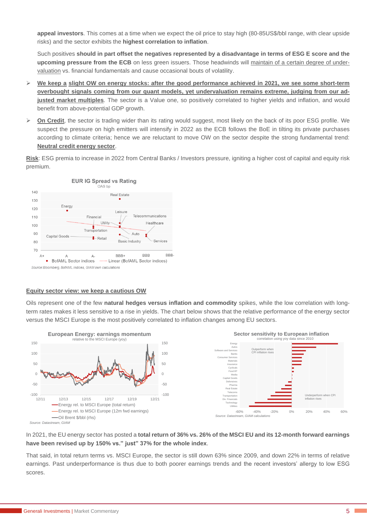**appeal investors**. This comes at a time when we expect the oil price to stay high (80-85US\$/bbl range, with clear upside risks) and the sector exhibits the **highest correlation to inflation**.

Such positives **should in part offset the negatives represented by a disadvantage in terms of ESG E score and the upcoming pressure from the ECB** on less green issuers. Those headwinds will maintain of a certain degree of undervaluation vs. financial fundamentals and cause occasional bouts of volatility.

- ➢ **We keep a slight OW on energy stocks: after the good performance achieved in 2021, we see some short-term overbought signals coming from our quant models, yet undervaluation remains extreme, judging from our adjusted market multiples**. The sector is a Value one, so positively correlated to higher yields and inflation, and would benefit from above-potential GDP growth.
- ➢ **On Credit**, the sector is trading wider than its rating would suggest, most likely on the back of its poor ESG profile. We suspect the pressure on high emitters will intensify in 2022 as the ECB follows the BoE in tilting its private purchases according to climate criteria; hence we are reluctant to move OW on the sector despite the strong fundamental trend: **Neutral credit energy sector**.

**Risk**: ESG premia to increase in 2022 from Central Banks / Investors pressure, igniting a higher cost of capital and equity risk premium.



## **Equity sector view: we keep a cautious OW**

Oils represent one of the few **natural hedges versus inflation and commodity** spikes, while the low correlation with longterm rates makes it less sensitive to a rise in yields. The chart below shows that the relative performance of the energy sector versus the MSCI Europe is the most positively correlated to inflation changes among EU sectors.



In 2021, the EU energy sector has posted a **total return of 36% vs. 26% of the MSCI EU and its 12-month forward earnings have been revised up by 150% vs." just" 37% for the whole index**.

That said, in total return terms vs. MSCI Europe, the sector is still down 63% since 2009, and down 22% in terms of relative earnings. Past underperformance is thus due to both poorer earnings trends and the recent investors' allergy to low ESG scores.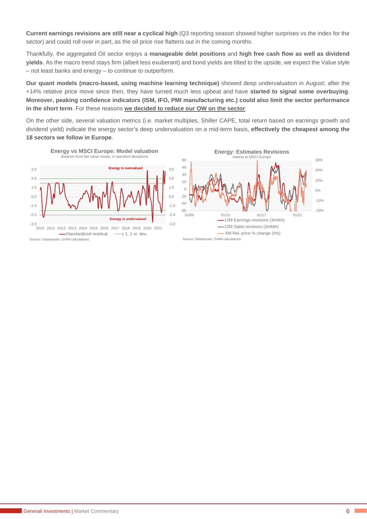**Current earnings revisions are still near a cyclical high** (Q3 reporting season showed higher surprises vs the index for the sector) and could roll over in part, as the oil price rise flattens out in the coming months.

Thankfully, the aggregated Oil sector enjoys a **manageable debt positions** and **high free cash flow as well as dividend yields**. As the macro trend stays firm (albeit less exuberant) and bond yields are tilted to the upside, we expect the Value style – not least banks and energy – to continue to outperform.

**Our quant models (macro-based, using machine learning technique)** showed deep undervaluation in August; after the +14% relative price move since then, they have turned much less upbeat and have **started to signal some overbuying**. **Moreover, peaking confidence indicators (ISM, IFO, PMI manufacturing etc.) could also limit the sector performance in the short term**. For these reasons **we decided to reduce our OW on the sector**.

On the other side, several valuation metrics (i.e. market multiples, Shiller CAPE, total return based on earnings growth and dividend yield) indicate the energy sector's deep undervaluation on a mid-term basis, **effectively the cheapest among the 18 sectors we follow in Europe**.

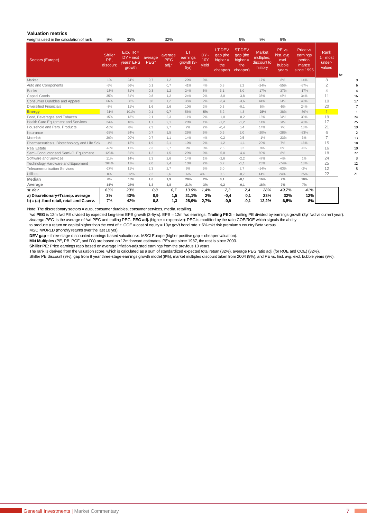#### **Valuation metrics**

| weights used in the calculation of rank      | 9%                                | 32%                                                |                 | 32%                            |                                      |                     |                                                       | 9%                                                         | 9%                                                    | 9%                                               |                                                        |                                                                   |    |
|----------------------------------------------|-----------------------------------|----------------------------------------------------|-----------------|--------------------------------|--------------------------------------|---------------------|-------------------------------------------------------|------------------------------------------------------------|-------------------------------------------------------|--------------------------------------------------|--------------------------------------------------------|-------------------------------------------------------------------|----|
| Sectors (Europe)                             | <b>Shiller</b><br>PE,<br>discount | $Exp. TR =$<br>$DY + next$<br>years' EPS<br>growth | average<br>PEG* | average<br><b>PEG</b><br>adj.* | LT<br>earnings<br>growth (3-<br>5yr) | DY-<br>10Y<br>vield | LT DEV<br>$qap$ (the<br>higher $=$<br>the<br>cheaper) | <b>ST DEV</b><br>gap (the<br>higher $=$<br>the<br>cheaper) | <b>Market</b><br>multiples,<br>discount to<br>history | PE vs.<br>hist. avg.<br>excl.<br>bubble<br>years | Price vs<br>earnings<br>perfor-<br>mance<br>since 1995 | <b>Rank</b><br>$1 = \text{most}$<br>under-<br>valued<br><b>hc</b> |    |
| Market                                       | 1%                                | 24%                                                | 0.7             | 1,2                            | 20%                                  | 3%                  |                                                       |                                                            | 17%                                                   | 8%                                               | 14%                                                    | 8                                                                 |    |
| Auto and Components                          | $-5%$                             | 66%                                                | 0,1             | 0,7                            | 41%                                  | 4%                  | 0,8                                                   | 2,2                                                        | $-24%$                                                | $-55%$                                           | $-87%$                                                 | $\overline{2}$                                                    |    |
| <b>Banks</b>                                 | $-18%$                            | 31%                                                | 0,3             | 1,2                            | 24%                                  | $5\%$               | 3,1                                                   | 3,0                                                        | $-17%$                                                | $-37%$                                           | $-17%$                                                 | 4                                                                 |    |
| Capital Goods                                | 35%                               | 31%                                                | 0,8             | 1,2                            | 24%                                  | 2%                  | $-3,0$                                                | $-3,8$                                                     | 38%                                                   | 45%                                              | 34%                                                    | 11                                                                | 16 |
| <b>Consumer Durables and Apparel</b>         | 66%                               | 38%                                                | 0,8             | 1,2                            | 35%                                  | 2%                  | $-3,4$                                                | $-3,6$                                                     | 44%                                                   | 61%                                              | 49%                                                    | 10                                                                | 17 |
| <b>Diversified Financials</b>                | $-8%$                             | 11%                                                | 1,6             | 2,6                            | 10%                                  | 2%                  | 0,3                                                   | $-0,1$                                                     | 5%                                                    | $-5%$                                            | 24%                                                    | 20                                                                |    |
| <b>Energy</b>                                | $-31%$                            | 101%                                               | 0,1             | 0,7                            | 56%                                  | 5%                  | 5,2                                                   | 4,3                                                        | $-25%$                                                | $-38%$                                           | $-89%$                                                 | $\overline{1}$                                                    |    |
| Food, Beverages and Tobacco                  | 15%                               | 13%                                                | 2,1             | 2,3                            | 11%                                  | 2%                  | $-1,0$                                                | $-0,2$                                                     | 16%                                                   | 34%                                              | 39%                                                    | 19                                                                | 24 |
| Health Care Equipment and Services           | 24%                               | 18%                                                | 1,7             | 2,1                            | 20%                                  | $1\%$               | $-1,2$                                                | $-1,2$                                                     | 14%                                                   | 34%                                              | 48%                                                    | 17                                                                | 25 |
| Household and Pers. Products                 | $-16%$                            | 8%                                                 | 2,3             | 2,7                            | 7%                                   | 2%                  | $-0,4$                                                | 0,4                                                        | 14%                                                   | 7%                                               | 18%                                                    | 21                                                                | 19 |
| Insurance                                    | $-38%$                            | 24%                                                | 0,7             | 1,5                            | 26%                                  | 5%                  | 0,6                                                   | 2,0                                                        | $-20%$                                                | $-28%$                                           | $-83%$                                                 | 6                                                                 |    |
| <b>Materials</b>                             | 20%                               | 20%                                                | 0,7             | 1,1                            | 14%                                  | 4%                  | $-0,2$                                                | 0,5                                                        | $-1%$                                                 | $-23%$                                           | 3%                                                     | 7                                                                 | 13 |
| Pharmaceuticals, Biotechnology and Life Scie | $-4%$                             | 12%                                                | 1,9             | 2,1                            | 10%                                  | 2%                  | $-1,2$                                                | $-1,1$                                                     | 20%                                                   | 7%                                               | 16%                                                    | 15                                                                | 18 |
| <b>Real Estate</b>                           | $-43%$                            | 11%                                                | 2,3             | 2,7                            | 9%                                   | 3%                  | 2,6                                                   | 3,2                                                        | 9%                                                    | $0\%$                                            | $-6%$                                                  | 16                                                                | 10 |
| Semi-Conductor and Semi-C. Equipment         | 123%                              | 31%                                                | 1,2             | 1,5                            | 29%                                  | $0\%$               | $-5,0$                                                | $-4,4$                                                     | 99%                                                   | 8%                                               | $\sim$                                                 | 18                                                                | 22 |
| Software and Services                        | 11%                               | 14%                                                | 2,3             | 2,6                            | 14%                                  | 1%                  | $-2,6$                                                | $-2,2$                                                     | 47%                                                   | $-4%$                                            | 1%                                                     | 24                                                                |    |
| Technology Hardware and Equipment            | 264%                              | 11%                                                | 2,0             | 2,4                            | 10%                                  | 2%                  | 0,7                                                   | $-1,1$                                                     | 23%                                                   | $-74%$                                           | 18%                                                    | 25                                                                | 12 |
| <b>Telecommunication Services</b>            | $-27%$                            | 11%                                                | 2,3             | 2,7                            | 6%                                   | 5%                  | 3,0                                                   | 2,7                                                        | $-14%$                                                | $-63%$                                           | $-2%$                                                  | 12                                                                |    |
| <b>Utilities</b>                             | $0\%$                             | 12%                                                | 2,2             | 2.6                            | 6%                                   | 4%                  | 0,5                                                   | $-0,7$                                                     | 14%                                                   | 24%                                              | 25%                                                    | 22                                                                | 21 |
| Median                                       | $0\%$                             | 18%                                                | 1,6             | 1,9                            | 20%                                  | 2%                  | 0,1                                                   | $-0,1$                                                     | 16%                                                   | 7%                                               | 18%                                                    |                                                                   |    |
| Average                                      | 14%                               | 28%                                                | 1,3             | 1,8                            | 21%                                  | 3%                  | $-0,2$                                                | $-0,1$                                                     | 18%                                                   | 7%                                               | 7%                                                     |                                                                   |    |
| st. dev.<br>a) Discretionary+Transp. average | 63%<br>3%                         | 23%<br>43%                                         | 0,8<br>0,9      | 0,7<br>1,5                     | 13,6%<br>31,1%                       | 1,4%<br>2%          | 2,3<br>-0,4                                           | 2,4<br>0,1                                                 | 28%<br>23%                                            | 49,7%<br>32%                                     | 41%<br>12%                                             |                                                                   |    |
| b) = (a) -food retail, retail and C.serv.    | 7%                                | 43%                                                | 0,8             | 1,3                            | 28,9%                                | 2,7%                | $-0.9$                                                | $-0.1$                                                     | 12,2%                                                 | $-6,5%$                                          | -8%                                                    |                                                                   |    |

Note: The discretionary sectors = auto, consumer durables, consumer services, media, retailing.

fwd **PEG** is 12m fwd PE divided by expected long-term EPS growth (3-5yrs). EPS = 12m fwd earnings. **Trailing PEG** = trailing PE divided by earnings growth (3yr fwd vs current year). *Average PEG* is the average of fwd PEG and trailing PEG. **PEG adj.** (higher = expensive): PEG is modified by the ratio COE/ROE which signals the ability

to produce a return on capital higher than the cost of it. COE = cost of equity = 10yr gov't bond rate + 6% mkt risk premium x country Beta versus

MSCI WORLD (monthly returns over the last 10 yrs).

**DEV gap** = three-stage discounted earnings based valuation vs. MSCI Europe (higher positive gap = cheaper valuation).

**Mkt Multiples** (PE, PB, PCF, and DY) are based on 12m forward estimates. PEs are since 1987, the rest is since 2003.

**Shiller PE**: Price earnings ratio based on average inflation-adjusted earnings from the previous 10 years.

The rank is derived from the valuation score, which is calculated as a sum of standardized expected total return (32%), average PEG ratio adj. (for ROE and COE) (32%),

Shiller PE discount (9%), gap from 8 year three-stage earnings growth model (9%), market multiples discount taken from 2004 (9%), and PE vs. hist. avg. excl. bubble years (9%).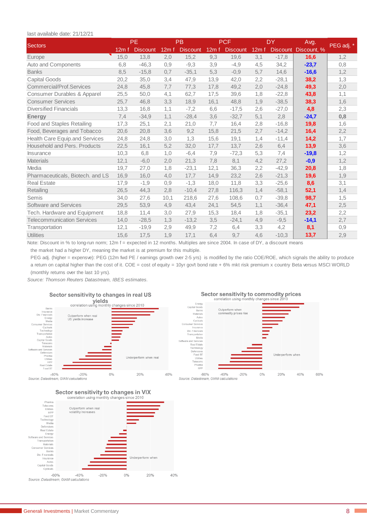### last available date: 21/12/21

| last available date: 21/12/21     |       |                 |       |                 |       |                 |       |                 |             |            |
|-----------------------------------|-------|-----------------|-------|-----------------|-------|-----------------|-------|-----------------|-------------|------------|
| Sectors                           |       | <b>PE</b>       |       | <b>PB</b>       |       | <b>PCF</b>      |       | <b>DY</b>       | Avg.        | PEG adj. * |
|                                   | 12m f | <b>Discount</b> | 12m f | <b>Discount</b> | 12m f | <b>Discount</b> | 12m f | <b>Discount</b> | Discount, % |            |
| Europe                            | 15,0  | 13,8            | 2,0   | 15,2            | 9,3   | 19,6            | 3,1   | $-17,8$         | 16,6        | 1,2        |
| Auto and Components               | 6,8   | $-46,3$         | 0,9   | $-9,3$          | 3,9   | $-4,9$          | 4,5   | 34,2            | $-23,7$     | 0,8        |
| <b>Banks</b>                      | 8,5   | $-15,8$         | 0,7   | $-35,1$         | 5,3   | $-0,9$          | 5,7   | 14,6            | $-16,6$     | 1,2        |
| <b>Capital Goods</b>              | 20,2  | 35,0            | 3,4   | 47,9            | 13,9  | 42,0            | 2,2   | $-28,1$         | 38,2        | 1,3        |
| Commercial/Prof.Services          | 24,8  | 45,8            | 7,7   | 77,3            | 17,8  | 49,2            | 2,0   | $-24,8$         | 49,3        | 2,0        |
| Consumer Durables & Apparel       | 25,5  | 50,0            | 4,1   | 62,7            | 17,5  | 39,6            | 1,8   | $-22.8$         | 43,8        | 1,1        |
| <b>Consumer Services</b>          | 25,7  | 46,8            | 3,3   | 18,9            | 16,1  | 48,8            | 1,9   | $-38,5$         | 38,3        | 1,6        |
| <b>Diversified Financials</b>     | 13,3  | 16,8            | 1,1   | $-7,2$          | 6,6   | $-17,5$         | 2,6   | $-27,0$         | 4,8         | 2,3        |
| <b>Energy</b>                     | 7,4   | $-34.9$         | 1,1   | $-28,4$         | 3,6   | $-32,7$         | 5,1   | 2,8             | $-24,7$     | 0,8        |
| Food and Staples Retailing        | 17,3  | 25,1            | 2,1   | 21,0            | 7,7   | 16,4            | 2,8   | $-16,8$         | 19,8        | 1,6        |
| Food, Beverages and Tobacco       | 20,6  | 20,8            | 3,6   | 9,2             | 15,8  | 21,5            | 2,7   | $-14,2$         | 16,4        | 2,2        |
| Health Care Equip.and Services    | 24,8  | 24,8            | 3,0   | 1,3             | 15,6  | 19,1            | 1,4   | $-11,4$         | 14,2        | 1,7        |
| Household and Pers. Products      | 22,5  | 16,1            | 5,2   | 32,0            | 17,7  | 13,7            | 2,6   | 6,4             | 13,9        | 3,6        |
| Insurance                         | 10,3  | 6,8             | 1,0   | $-6,4$          | 7,9   | $-72,3$         | 5,3   | 7,4             | $-19,8$     | 1,2        |
| <b>Materials</b>                  | 12,1  | $-6,0$          | 2,0   | 21,3            | 7,8   | 8,1             | 4,2   | 27,2            | $-0,9$      | 1,2        |
| Media                             | 19,7  | 27,0            | 1,8   | $-23,1$         | 12,1  | 36,3            | 2,2   | $-42,9$         | 20,8        | 1,8        |
| Pharmaceuticals, Biotech. and LS  | 16,9  | 16,0            | 4,0   | 17,7            | 14,9  | 23,2            | 2,6   | $-21,3$         | 19,6        | 1,9        |
| <b>Real Estate</b>                | 17,9  | $-1,9$          | 0,9   | $-1,3$          | 18,0  | 11,8            | 3,3   | $-25,6$         | 8,6         | 3,1        |
| Retailing                         | 26,5  | 44,3            | 2,8   | $-10,4$         | 27,8  | 116,3           | 1,4   | $-58,1$         | 52,1        | 1,4        |
| Semis                             | 34,0  | 27,6            | 10,1  | 218,6           | 27,6  | 108,6           | 0,7   | $-39,8$         | 98,7        | 1,5        |
| Software and Services             | 29,5  | 53,9            | 4,9   | 43,4            | 24,1  | 54,5            | 1,1   | $-36,4$         | 47,1        | 2,5        |
| Tech. Hardware and Equipment      | 18,8  | 11,4            | 3,0   | 27,9            | 15,3  | 18,4            | 1,8   | $-35,1$         | 23,2        | 2,2        |
| <b>Telecommunication Services</b> | 14,0  | $-28,5$         | 1,3   | $-13,2$         | 3,5   | $-24,1$         | 4,9   | $-9,5$          | $-14,1$     | 2,7        |
| Transportation                    | 12,1  | $-19,9$         | 2,9   | 49,9            | 7,2   | 6,4             | 3,3   | 4,2             | 8,1         | 0,9        |
| <b>Utilities</b>                  | 15,6  | 17,5            | 1,9   | 17,1            | 6,4   | 9,7             | 4,6   | $-10,3$         | 13,7        | 2,9        |

Note: Discount in % to long-run norm; 12m f = expected in 12 months. Multiples are since 2004. In case of DY, a discount means the market had a higher DY, meaning the market is at premium for this multiple.

PEG adj. (higher = expensve): PEG (12m fwd PE / earnings growth over 2-5 yrs) is modified by the ratio COE/ROE, which signals the ability to produce a return on capital higher than the cost of it. COE = cost of equity = 10yr gov't bond rate + 6% mkt risk premium x country Beta versus MSCI WORLD (monthly returns over the last 10 yrs).

*Source: Thomson Reuters Datastream, IBES estimates.* 









Sector sensitivity to changes in VIX correlation using monthly changes since 2010